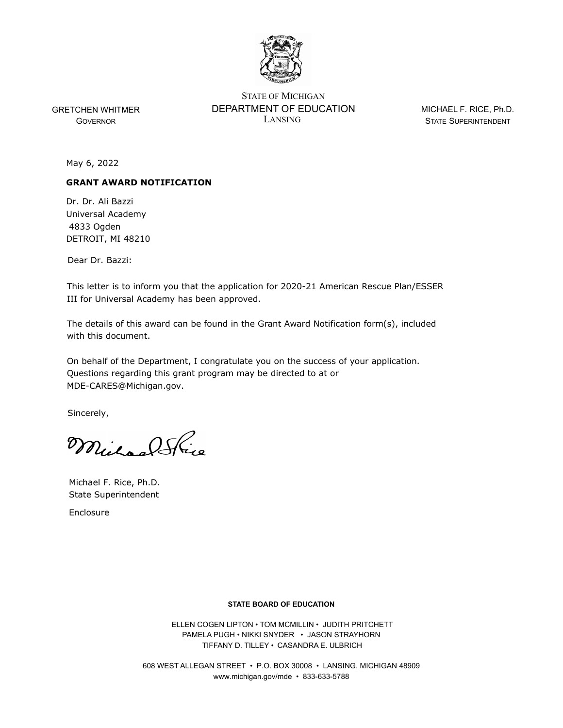

GOVERNOR

LANSING STATE SUPERINTENDENT STATE OF MICHIGAN GRETCHEN WHITMER DEPARTMENT OF EDUCATION

MICHAEL F. RICE, Ph.D.

May 6, 2022

## **GRANT AWARD NOTIFICATION**

Dr. Dr. Ali Bazzi Universal Academy 4833 Ogden DETROIT, MI 48210

Dear Dr. Bazzi:

This letter is to inform you that the application for 2020-21 American Rescue Plan/ESSER III for Universal Academy has been approved.

The details of this award can be found in the Grant Award Notification form(s), included with this document.

On behalf of the Department, I congratulate you on the success of your application. Questions regarding this grant program may be directed to at or MDE-CARES@Michigan.gov.

Sincerely,

Mular Shire

Michael F. Rice, Ph.D. State Superintendent

Enclosure

## **STATE BOARD OF EDUCATION**

 ELLEN COGEN LIPTON • TOM MCMILLIN • JUDITH PRITCHETT PAMELA PUGH • NIKKI SNYDER • JASON STRAYHORN TIFFANY D. TILLEY • CASANDRA E. ULBRICH

608 WEST ALLEGAN STREET • P.O. BOX 30008 • LANSING, MICHIGAN 48909 www.michigan.gov/mde • 833-633-5788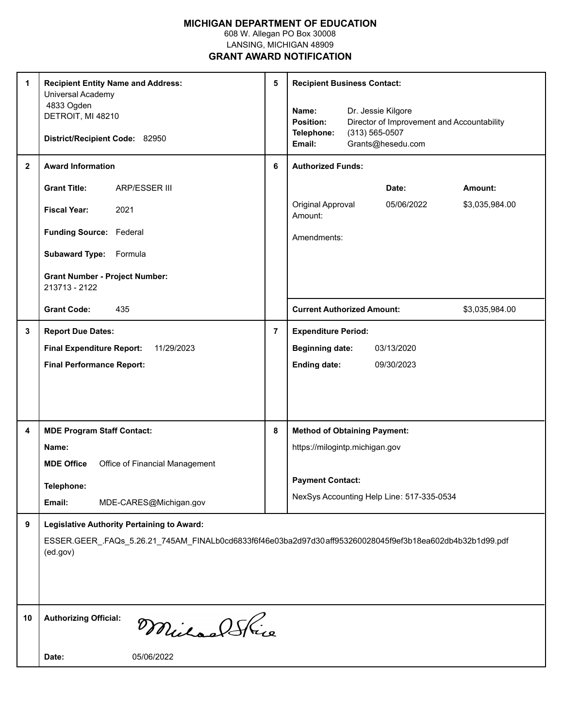## **MICHIGAN DEPARTMENT OF EDUCATION**

608 W. Allegan PO Box 30008 LANSING, MICHIGAN 48909

**GRANT AWARD NOTIFICATION**

| 1<br>$\mathbf{2}$ | <b>Recipient Entity Name and Address:</b><br>Universal Academy<br>4833 Ogden<br>DETROIT, MI 48210<br>District/Recipient Code: 82950<br><b>Award Information</b>           | 5<br>6         | <b>Recipient Business Contact:</b><br>Dr. Jessie Kilgore<br>Name:<br><b>Position:</b><br>Director of Improvement and Accountability<br>$(313) 565 - 0507$<br>Telephone:<br>Grants@hesedu.com<br>Email:<br><b>Authorized Funds:</b> |  |  |  |  |
|-------------------|---------------------------------------------------------------------------------------------------------------------------------------------------------------------------|----------------|------------------------------------------------------------------------------------------------------------------------------------------------------------------------------------------------------------------------------------|--|--|--|--|
|                   | <b>Grant Title:</b><br><b>ARP/ESSER III</b>                                                                                                                               |                | Date:<br>Amount:                                                                                                                                                                                                                   |  |  |  |  |
|                   | <b>Fiscal Year:</b><br>2021                                                                                                                                               |                | Original Approval<br>\$3,035,984.00<br>05/06/2022<br>Amount:                                                                                                                                                                       |  |  |  |  |
|                   | Funding Source: Federal                                                                                                                                                   |                | Amendments:                                                                                                                                                                                                                        |  |  |  |  |
|                   | Subaward Type: Formula                                                                                                                                                    |                |                                                                                                                                                                                                                                    |  |  |  |  |
|                   | <b>Grant Number - Project Number:</b><br>213713 - 2122                                                                                                                    |                |                                                                                                                                                                                                                                    |  |  |  |  |
|                   | 435<br><b>Grant Code:</b>                                                                                                                                                 |                | <b>Current Authorized Amount:</b><br>\$3,035,984.00                                                                                                                                                                                |  |  |  |  |
| 3                 | <b>Report Due Dates:</b>                                                                                                                                                  | $\overline{7}$ | <b>Expenditure Period:</b>                                                                                                                                                                                                         |  |  |  |  |
|                   | <b>Final Expenditure Report:</b><br>11/29/2023                                                                                                                            |                | 03/13/2020<br><b>Beginning date:</b>                                                                                                                                                                                               |  |  |  |  |
|                   | <b>Final Performance Report:</b>                                                                                                                                          |                | <b>Ending date:</b><br>09/30/2023                                                                                                                                                                                                  |  |  |  |  |
|                   |                                                                                                                                                                           |                |                                                                                                                                                                                                                                    |  |  |  |  |
| 4                 | <b>MDE Program Staff Contact:</b>                                                                                                                                         | 8              | <b>Method of Obtaining Payment:</b>                                                                                                                                                                                                |  |  |  |  |
|                   | Name:                                                                                                                                                                     |                | https://milogintp.michigan.gov                                                                                                                                                                                                     |  |  |  |  |
|                   | Office of Financial Management<br><b>MDE Office</b>                                                                                                                       |                | <b>Payment Contact:</b>                                                                                                                                                                                                            |  |  |  |  |
|                   | Telephone:                                                                                                                                                                |                | NexSys Accounting Help Line: 517-335-0534                                                                                                                                                                                          |  |  |  |  |
|                   | Email:<br>MDE-CARES@Michigan.gov                                                                                                                                          |                |                                                                                                                                                                                                                                    |  |  |  |  |
| 9                 | <b>Legislative Authority Pertaining to Award:</b><br>ESSER.GEER_.FAQs_5.26.21_745AM_FINALb0cd6833f6f46e03ba2d97d30aff953260028045f9ef3b18ea602db4b32b1d99.pdf<br>(ed.gov) |                |                                                                                                                                                                                                                                    |  |  |  |  |
| 10                | <b>Authorizing Official:</b><br>MichaelSkie                                                                                                                               |                |                                                                                                                                                                                                                                    |  |  |  |  |
|                   | Date:<br>05/06/2022                                                                                                                                                       |                |                                                                                                                                                                                                                                    |  |  |  |  |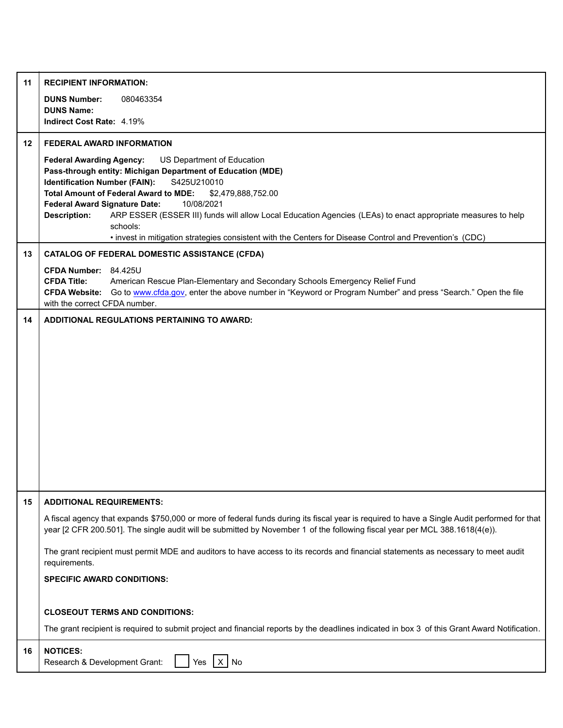| 11 | <b>RECIPIENT INFORMATION:</b>                                                                                                                                                                                                                                                                                                                                                                                                                                                                                                                                                  |  |  |  |  |  |  |
|----|--------------------------------------------------------------------------------------------------------------------------------------------------------------------------------------------------------------------------------------------------------------------------------------------------------------------------------------------------------------------------------------------------------------------------------------------------------------------------------------------------------------------------------------------------------------------------------|--|--|--|--|--|--|
|    | <b>DUNS Number:</b><br>080463354<br><b>DUNS Name:</b>                                                                                                                                                                                                                                                                                                                                                                                                                                                                                                                          |  |  |  |  |  |  |
|    | Indirect Cost Rate: 4.19%                                                                                                                                                                                                                                                                                                                                                                                                                                                                                                                                                      |  |  |  |  |  |  |
| 12 | <b>FEDERAL AWARD INFORMATION</b>                                                                                                                                                                                                                                                                                                                                                                                                                                                                                                                                               |  |  |  |  |  |  |
|    | <b>Federal Awarding Agency:</b><br>US Department of Education<br>Pass-through entity: Michigan Department of Education (MDE)<br><b>Identification Number (FAIN):</b><br>S425U210010<br><b>Total Amount of Federal Award to MDE:</b><br>\$2,479,888,752.00<br>10/08/2021<br><b>Federal Award Signature Date:</b><br>ARP ESSER (ESSER III) funds will allow Local Education Agencies (LEAs) to enact appropriate measures to help<br><b>Description:</b><br>schools:<br>. invest in mitigation strategies consistent with the Centers for Disease Control and Prevention's (CDC) |  |  |  |  |  |  |
| 13 | <b>CATALOG OF FEDERAL DOMESTIC ASSISTANCE (CFDA)</b>                                                                                                                                                                                                                                                                                                                                                                                                                                                                                                                           |  |  |  |  |  |  |
|    | CFDA Number: 84.425U                                                                                                                                                                                                                                                                                                                                                                                                                                                                                                                                                           |  |  |  |  |  |  |
|    | <b>CFDA Title:</b><br>American Rescue Plan-Elementary and Secondary Schools Emergency Relief Fund<br>CFDA Website: Go to www.cfda.gov, enter the above number in "Keyword or Program Number" and press "Search." Open the file<br>with the correct CFDA number.                                                                                                                                                                                                                                                                                                                |  |  |  |  |  |  |
| 14 | ADDITIONAL REGULATIONS PERTAINING TO AWARD:                                                                                                                                                                                                                                                                                                                                                                                                                                                                                                                                    |  |  |  |  |  |  |
|    |                                                                                                                                                                                                                                                                                                                                                                                                                                                                                                                                                                                |  |  |  |  |  |  |
|    |                                                                                                                                                                                                                                                                                                                                                                                                                                                                                                                                                                                |  |  |  |  |  |  |
|    |                                                                                                                                                                                                                                                                                                                                                                                                                                                                                                                                                                                |  |  |  |  |  |  |
|    |                                                                                                                                                                                                                                                                                                                                                                                                                                                                                                                                                                                |  |  |  |  |  |  |
|    |                                                                                                                                                                                                                                                                                                                                                                                                                                                                                                                                                                                |  |  |  |  |  |  |
|    |                                                                                                                                                                                                                                                                                                                                                                                                                                                                                                                                                                                |  |  |  |  |  |  |
|    |                                                                                                                                                                                                                                                                                                                                                                                                                                                                                                                                                                                |  |  |  |  |  |  |
|    |                                                                                                                                                                                                                                                                                                                                                                                                                                                                                                                                                                                |  |  |  |  |  |  |
|    |                                                                                                                                                                                                                                                                                                                                                                                                                                                                                                                                                                                |  |  |  |  |  |  |
|    |                                                                                                                                                                                                                                                                                                                                                                                                                                                                                                                                                                                |  |  |  |  |  |  |
| 15 | <b>ADDITIONAL REQUIREMENTS:</b>                                                                                                                                                                                                                                                                                                                                                                                                                                                                                                                                                |  |  |  |  |  |  |
|    | A fiscal agency that expands \$750,000 or more of federal funds during its fiscal year is required to have a Single Audit performed for that<br>year [2 CFR 200.501]. The single audit will be submitted by November 1 of the following fiscal year per MCL 388.1618(4(e)).                                                                                                                                                                                                                                                                                                    |  |  |  |  |  |  |
|    | The grant recipient must permit MDE and auditors to have access to its records and financial statements as necessary to meet audit                                                                                                                                                                                                                                                                                                                                                                                                                                             |  |  |  |  |  |  |
|    | requirements.                                                                                                                                                                                                                                                                                                                                                                                                                                                                                                                                                                  |  |  |  |  |  |  |
|    | <b>SPECIFIC AWARD CONDITIONS:</b>                                                                                                                                                                                                                                                                                                                                                                                                                                                                                                                                              |  |  |  |  |  |  |
|    |                                                                                                                                                                                                                                                                                                                                                                                                                                                                                                                                                                                |  |  |  |  |  |  |
|    | <b>CLOSEOUT TERMS AND CONDITIONS:</b>                                                                                                                                                                                                                                                                                                                                                                                                                                                                                                                                          |  |  |  |  |  |  |
|    | The grant recipient is required to submit project and financial reports by the deadlines indicated in box 3 of this Grant Award Notification.                                                                                                                                                                                                                                                                                                                                                                                                                                  |  |  |  |  |  |  |
| 16 | <b>NOTICES:</b><br>Research & Development Grant:<br>No<br>Yes<br>ΙX.                                                                                                                                                                                                                                                                                                                                                                                                                                                                                                           |  |  |  |  |  |  |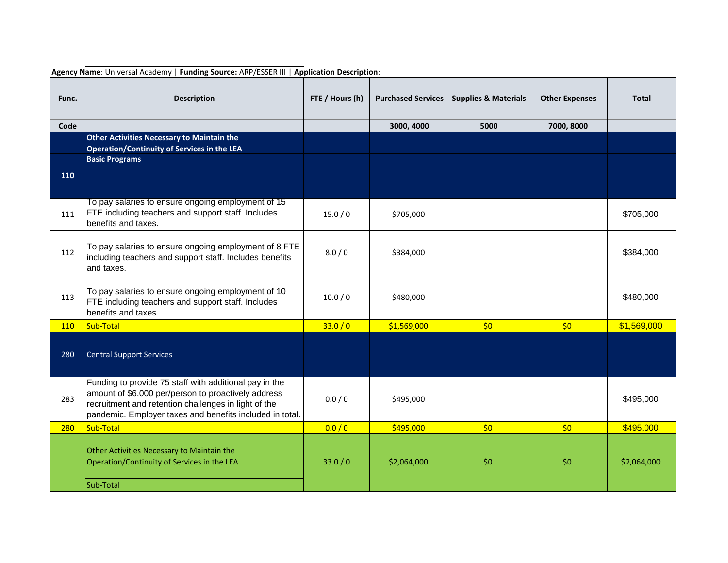| Func. | <b>Description</b>                                                                                                                                                                                                                | FTE / Hours (h) | <b>Purchased Services</b> | <b>Supplies &amp; Materials</b> | <b>Other Expenses</b> | <b>Total</b> |
|-------|-----------------------------------------------------------------------------------------------------------------------------------------------------------------------------------------------------------------------------------|-----------------|---------------------------|---------------------------------|-----------------------|--------------|
| Code  |                                                                                                                                                                                                                                   |                 | 3000, 4000                | 5000                            | 7000, 8000            |              |
|       | <b>Other Activities Necessary to Maintain the</b>                                                                                                                                                                                 |                 |                           |                                 |                       |              |
|       | Operation/Continuity of Services in the LEA<br><b>Basic Programs</b>                                                                                                                                                              |                 |                           |                                 |                       |              |
| 110   |                                                                                                                                                                                                                                   |                 |                           |                                 |                       |              |
| 111   | To pay salaries to ensure ongoing employment of 15<br>FTE including teachers and support staff. Includes<br>benefits and taxes.                                                                                                   | 15.0/0          | \$705,000                 |                                 |                       | \$705,000    |
| 112   | To pay salaries to ensure ongoing employment of 8 FTE<br>including teachers and support staff. Includes benefits<br>and taxes.                                                                                                    | 8.0/0           | \$384,000                 |                                 |                       | \$384,000    |
| 113   | To pay salaries to ensure ongoing employment of 10<br>FTE including teachers and support staff. Includes<br>benefits and taxes.                                                                                                   | 10.0 / 0        | \$480,000                 |                                 |                       | \$480,000    |
| 110   | Sub-Total                                                                                                                                                                                                                         | 33.0 / 0        | \$1,569,000               | \$0                             | \$0                   | \$1,569,000  |
| 280   | <b>Central Support Services</b>                                                                                                                                                                                                   |                 |                           |                                 |                       |              |
| 283   | Funding to provide 75 staff with additional pay in the<br>amount of \$6,000 per/person to proactively address<br>recruitment and retention challenges in light of the<br>pandemic. Employer taxes and benefits included in total. | 0.0 / 0         | \$495,000                 |                                 |                       | \$495,000    |
| 280   | Sub-Total                                                                                                                                                                                                                         | 0.0 / 0         | \$495,000                 | \$0                             | \$0                   | \$495,000    |
|       | Other Activities Necessary to Maintain the<br>Operation/Continuity of Services in the LEA<br>Sub-Total                                                                                                                            | 33.0/0          | \$2,064,000               | \$0                             | \$0                   | \$2,064,000  |

**Agency Name**: Universal Academy | **Funding Source:** ARP/ESSER III | **Application Description**: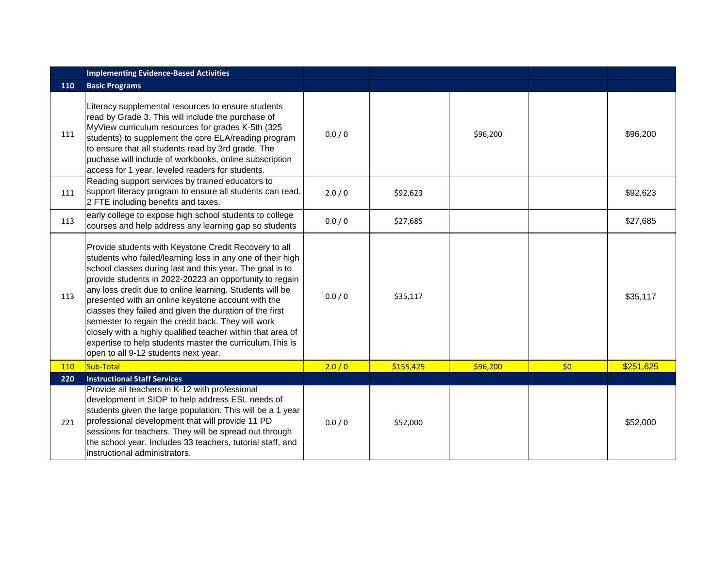|     | <b>Implementing Evidence-Based Activities</b>                                                                                                                                                                                                                                                                                                                                                                                                                                                                                                                                                                                                     |         |           |          |     |           |
|-----|---------------------------------------------------------------------------------------------------------------------------------------------------------------------------------------------------------------------------------------------------------------------------------------------------------------------------------------------------------------------------------------------------------------------------------------------------------------------------------------------------------------------------------------------------------------------------------------------------------------------------------------------------|---------|-----------|----------|-----|-----------|
| 110 | <b>Basic Programs</b>                                                                                                                                                                                                                                                                                                                                                                                                                                                                                                                                                                                                                             |         |           |          |     |           |
| 111 | Literacy supplemental resources to ensure students<br>read by Grade 3. This will include the purchase of<br>MyView curriculum resources for grades K-5th (325<br>students) to supplement the core ELA/reading program<br>to ensure that all students read by 3rd grade. The<br>puchase will include of workbooks, online subscription<br>access for 1 year, leveled readers for students.                                                                                                                                                                                                                                                         | 0.0 / 0 |           | \$96,200 |     | \$96,200  |
| 111 | Reading support services by trained educators to<br>support literacy program to ensure all students can read.<br>2 FTE including benefits and taxes.                                                                                                                                                                                                                                                                                                                                                                                                                                                                                              | 2.0/0   | \$92,623  |          |     | \$92,623  |
| 113 | early college to expose high school students to college<br>courses and help address any learning gap so students                                                                                                                                                                                                                                                                                                                                                                                                                                                                                                                                  | 0.0 / 0 | \$27,685  |          |     | \$27,685  |
| 113 | Provide students with Keystone Credit Recovery to all<br>students who failed/learning loss in any one of their high<br>school classes during last and this year. The goal is to<br>provide students in 2022-20223 an opportunity to regain<br>any loss credit due to online learning. Students will be<br>presented with an online keystone account with the<br>classes they failed and given the duration of the first<br>semester to regain the credit back. They will work<br>closely with a highly qualified teacher within that area of<br>expertise to help students master the curriculum. This is<br>open to all 9-12 students next year. | 0.0 / 0 | \$35,117  |          |     | \$35,117  |
| 110 | Sub-Total                                                                                                                                                                                                                                                                                                                                                                                                                                                                                                                                                                                                                                         | 2.0/0   | \$155,425 | \$96,200 | \$0 | \$251,625 |
| 220 | <b>Instructional Staff Services</b>                                                                                                                                                                                                                                                                                                                                                                                                                                                                                                                                                                                                               |         |           |          |     |           |
| 221 | Provide all teachers in K-12 with professional<br>development in SIOP to help address ESL needs of<br>students given the large population. This will be a 1 year<br>professional development that will provide 11 PD<br>sessions for teachers. They will be spread out through<br>the school year. Includes 33 teachers, tutorial staff, and<br>instructional administrators.                                                                                                                                                                                                                                                                     | 0.0 / 0 | \$52,000  |          |     | \$52,000  |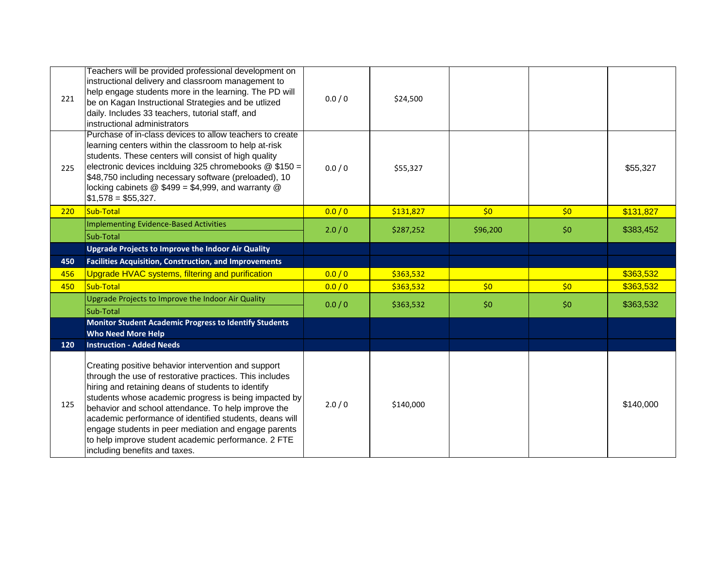| 221 | Teachers will be provided professional development on<br>instructional delivery and classroom management to<br>help engage students more in the learning. The PD will<br>be on Kagan Instructional Strategies and be utlized<br>daily. Includes 33 teachers, tutorial staff, and<br>instructional administrators                                                                                                                                                                                | 0.0 / 0 | \$24,500  |          |     |           |
|-----|-------------------------------------------------------------------------------------------------------------------------------------------------------------------------------------------------------------------------------------------------------------------------------------------------------------------------------------------------------------------------------------------------------------------------------------------------------------------------------------------------|---------|-----------|----------|-----|-----------|
| 225 | Purchase of in-class devices to allow teachers to create<br>learning centers within the classroom to help at-risk<br>students. These centers will consist of high quality<br>electronic devices inclduing 325 chromebooks @ \$150 =<br>\$48,750 including necessary software (preloaded), 10<br>locking cabinets @ \$499 = \$4,999, and warranty @<br>$$1,578 = $55,327.$                                                                                                                       | 0.0 / 0 | \$55,327  |          |     | \$55,327  |
| 220 | Sub-Total                                                                                                                                                                                                                                                                                                                                                                                                                                                                                       | 0.0 / 0 | \$131,827 | \$0      | \$0 | \$131,827 |
|     | <b>Implementing Evidence-Based Activities</b>                                                                                                                                                                                                                                                                                                                                                                                                                                                   | 2.0/0   | \$287,252 | \$96,200 | \$0 | \$383,452 |
|     | Sub-Total                                                                                                                                                                                                                                                                                                                                                                                                                                                                                       |         |           |          |     |           |
|     | <b>Upgrade Projects to Improve the Indoor Air Quality</b>                                                                                                                                                                                                                                                                                                                                                                                                                                       |         |           |          |     |           |
| 450 | <b>Facilities Acquisition, Construction, and Improvements</b>                                                                                                                                                                                                                                                                                                                                                                                                                                   |         |           |          |     |           |
| 456 | Upgrade HVAC systems, filtering and purification                                                                                                                                                                                                                                                                                                                                                                                                                                                | 0.0 / 0 | \$363,532 |          |     | \$363,532 |
| 450 | Sub-Total                                                                                                                                                                                                                                                                                                                                                                                                                                                                                       | 0.0 / 0 | \$363,532 | \$0      | \$0 | \$363,532 |
|     | Upgrade Projects to Improve the Indoor Air Quality<br>Sub-Total                                                                                                                                                                                                                                                                                                                                                                                                                                 | 0.0 / 0 | \$363,532 | \$0      | \$0 | \$363,532 |
|     | <b>Monitor Student Academic Progress to Identify Students</b><br><b>Who Need More Help</b>                                                                                                                                                                                                                                                                                                                                                                                                      |         |           |          |     |           |
| 120 | <b>Instruction - Added Needs</b>                                                                                                                                                                                                                                                                                                                                                                                                                                                                |         |           |          |     |           |
| 125 | Creating positive behavior intervention and support<br>through the use of restorative practices. This includes<br>hiring and retaining deans of students to identify<br>students whose academic progress is being impacted by<br>behavior and school attendance. To help improve the<br>academic performance of identified students, deans will<br>engage students in peer mediation and engage parents<br>to help improve student academic performance. 2 FTE<br>including benefits and taxes. | 2.0/0   | \$140,000 |          |     | \$140,000 |